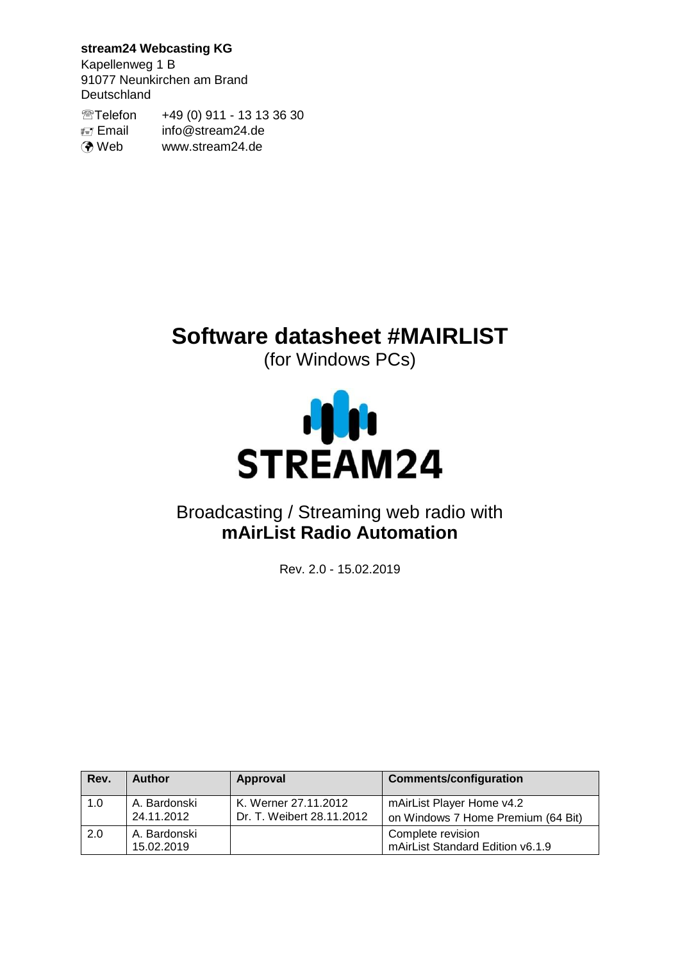## **stream24 Webcasting KG**

Kapellenweg 1 B 91077 Neunkirchen am Brand Deutschland

Telefon +49 (0) 911 - 13 13 36 30 Email info@stream24.de **O** Web www.stream24.de

# **Software datasheet #MAIRLIST**

(for Windows PCs)



# Broadcasting / Streaming web radio with **mAirList Radio Automation**

Rev. 2.0 - 15.02.2019

| Rev. | <b>Author</b>              | Approval                                          | <b>Comments/configuration</b>                                   |
|------|----------------------------|---------------------------------------------------|-----------------------------------------------------------------|
| 1.0  | A. Bardonski<br>24.11.2012 | K. Werner 27.11.2012<br>Dr. T. Weibert 28.11.2012 | mAirList Player Home v4.2<br>on Windows 7 Home Premium (64 Bit) |
| 2.0  | A. Bardonski<br>15.02.2019 |                                                   | Complete revision<br>mAirList Standard Edition v6.1.9           |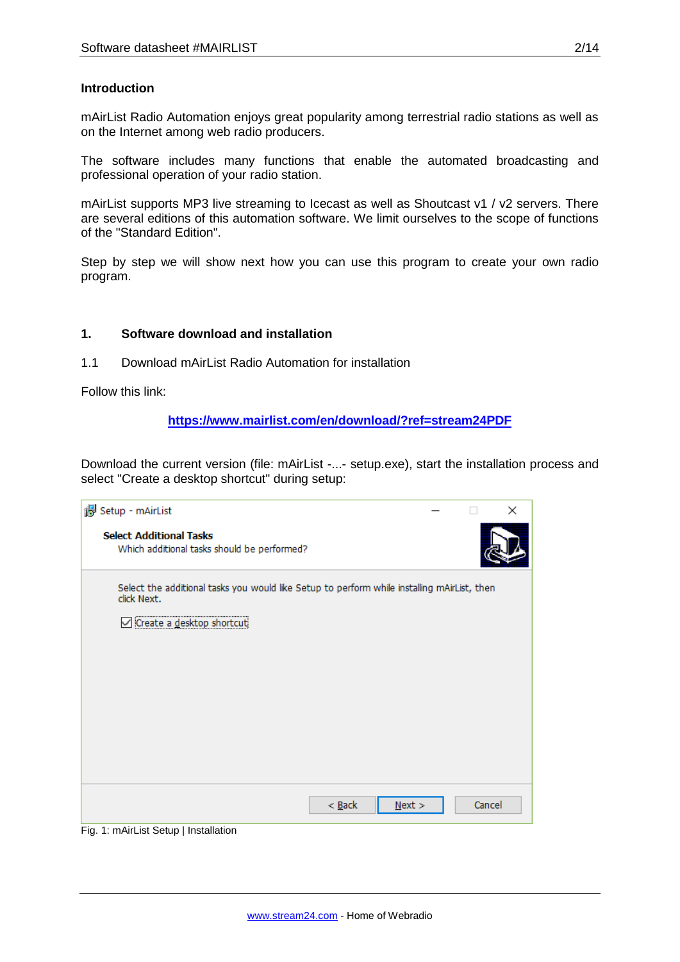## **Introduction**

mAirList Radio Automation enjoys great popularity among terrestrial radio stations as well as on the Internet among web radio producers.

The software includes many functions that enable the automated broadcasting and professional operation of your radio station.

mAirList supports MP3 live streaming to Icecast as well as Shoutcast v1 / v2 servers. There are several editions of this automation software. We limit ourselves to the scope of functions of the "Standard Edition".

Step by step we will show next how you can use this program to create your own radio program.

## **1. Software download and installation**

1.1 Download mAirList Radio Automation for installation

Follow this link:

## **<https://www.mairlist.com/en/download/?ref=stream24PDF>**

Download the current version (file: mAirList -...- setup.exe), start the installation process and select "Create a desktop shortcut" during setup:

| Setup - mAirList                                                                                           |      |        | $\times$ |
|------------------------------------------------------------------------------------------------------------|------|--------|----------|
| <b>Select Additional Tasks</b><br>Which additional tasks should be performed?                              |      |        |          |
| Select the additional tasks you would like Setup to perform while installing mAirList, then<br>click Next. |      |        |          |
| Create a desktop shortcuti<br>M                                                                            |      |        |          |
|                                                                                                            |      |        |          |
|                                                                                                            |      |        |          |
|                                                                                                            |      |        |          |
|                                                                                                            |      |        |          |
|                                                                                                            |      |        |          |
|                                                                                                            |      |        |          |
|                                                                                                            |      |        |          |
| $<$ Back                                                                                                   | Next | Cancel |          |

Fig. 1: mAirList Setup | Installation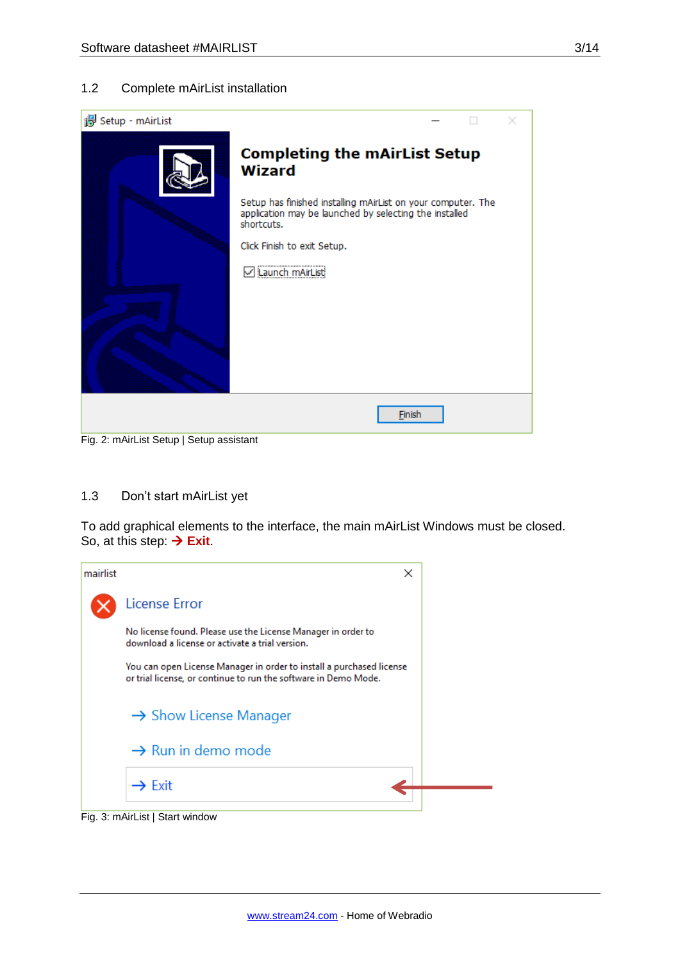## 1.2 Complete mAirList installation



#### 1.3 Don't start mAirList yet

To add graphical elements to the interface, the main mAirList Windows must be closed. So, at this step: **→ Exit**.

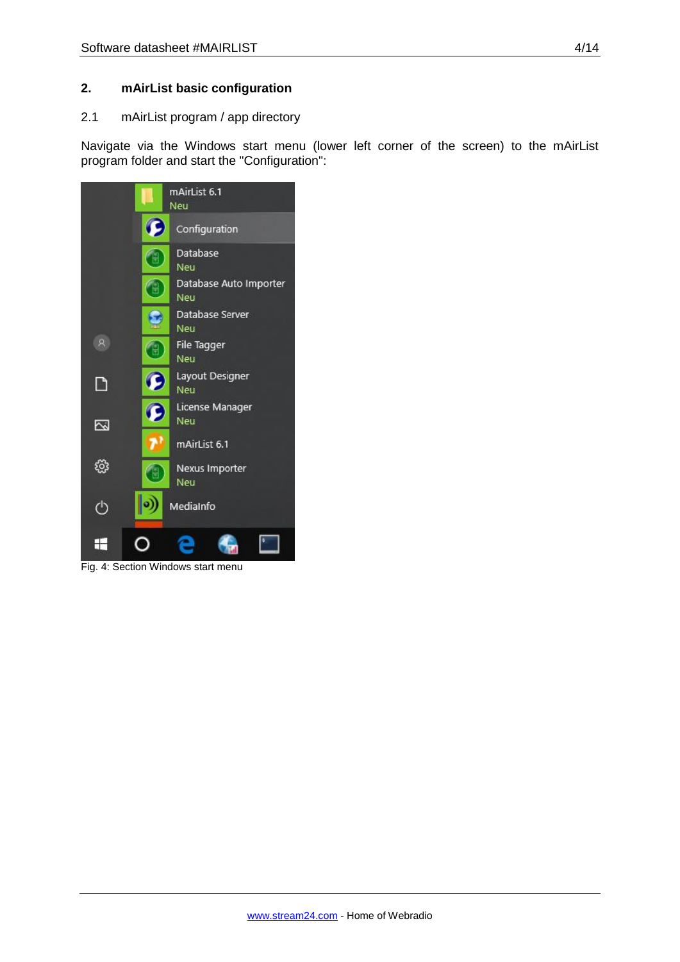## **2. mAirList basic configuration**

## 2.1 mAirList program / app directory

Navigate via the Windows start menu (lower left corner of the screen) to the mAirList program folder and start the "Configuration":



Fig. 4: Section Windows start menu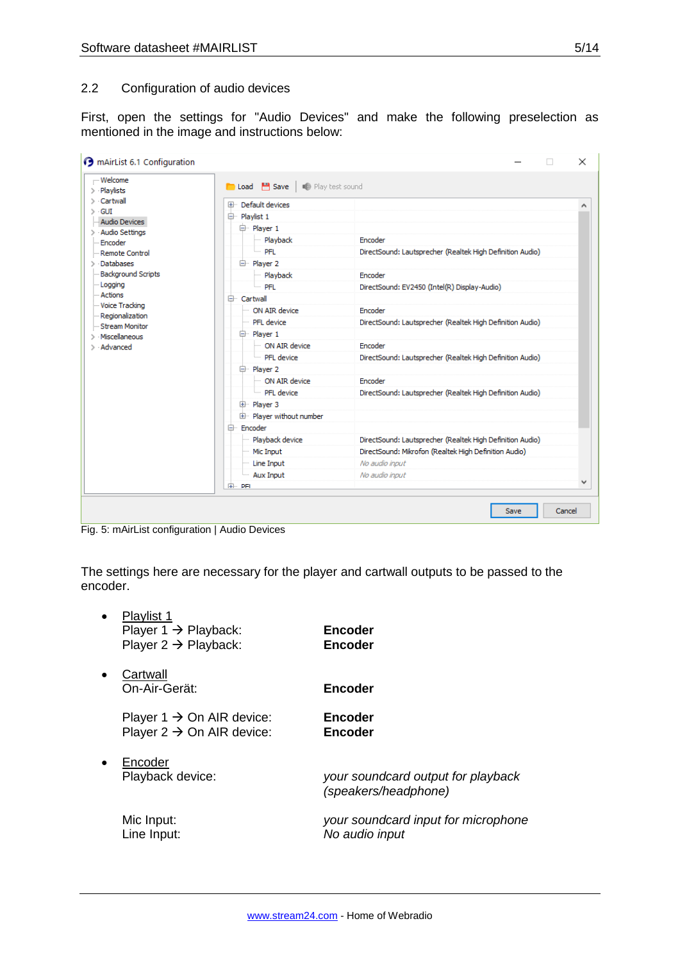First, open the settings for "Audio Devices" and make the following preselection as mentioned in the image and instructions below:

| :-- Welcome<br>$>$ Playlists             | <b>D</b> Load <b>P</b> Save   <b>D</b> Play test sound |                                                           |
|------------------------------------------|--------------------------------------------------------|-----------------------------------------------------------|
| $\angle$ Cartwall                        | Ellis Default devices.                                 |                                                           |
| $>$ GUI                                  | 白 Plavlist 1                                           |                                                           |
| <b>Audio Devices</b><br>> Audio Settings | 白 Player 1                                             |                                                           |
| - Encoder                                | Playback<br>.                                          | Encoder                                                   |
| Remote Control                           | — PFL                                                  | DirectSound: Lautsprecher (Realtek High Definition Audio) |
| <b>Databases</b>                         | 白 Player 2                                             |                                                           |
| <b>Background Scripts</b>                | - Playback                                             | Encoder                                                   |
| - Logging                                | ≔ PFL                                                  | DirectSound: EV2450 (Intel(R) Display-Audio)              |
| - Actions                                | 白 Cartwall                                             |                                                           |
| - Voice Tracking<br>Regionalization      | ON AIR device                                          | Encoder                                                   |
| Stream Monitor                           | - PFI device                                           | DirectSound: Lautsprecher (Realtek High Definition Audio) |
| Miscellaneous                            | 白 Player 1                                             |                                                           |
| > Advanced                               | ON AIR device                                          | Encoder                                                   |
|                                          | <b>PFL</b> device                                      | DirectSound: Lautsprecher (Realtek High Definition Audio) |
|                                          | 白 Player 2                                             |                                                           |
|                                          | ON AIR device                                          | Encoder                                                   |
|                                          | PFL device                                             | DirectSound: Lautsprecher (Realtek High Definition Audio) |
|                                          | 中 Player 3                                             |                                                           |
|                                          | 画 Player without number                                |                                                           |
|                                          | 白 Encoder                                              |                                                           |
|                                          | Playback device                                        | DirectSound: Lautsprecher (Realtek High Definition Audio) |
|                                          | <sup></sup> Mic Input                                  | DirectSound: Mikrofon (Realtek High Definition Audio)     |
|                                          | Line Input                                             | No audio input                                            |
|                                          | Aux Input                                              | No audio input                                            |
|                                          | <b>IEM PEI</b>                                         |                                                           |

Fig. 5: mAirList configuration | Audio Devices

The settings here are necessary for the player and cartwall outputs to be passed to the encoder.

|           | Playlist 1<br>Player $1 \rightarrow$ Playback:<br>Player $2 \rightarrow$ Playback: | Encoder<br><b>Encoder</b>                                  |
|-----------|------------------------------------------------------------------------------------|------------------------------------------------------------|
|           | Cartwall<br>On-Air-Gerät:                                                          | <b>Encoder</b>                                             |
|           | Player 1 $\rightarrow$ On AIR device:<br>Player $2 \rightarrow$ On AIR device:     | <b>Encoder</b><br>Encoder                                  |
| $\bullet$ | Encoder<br>Playback device:                                                        | your soundcard output for playback<br>(speakers/headphone) |
|           | Mic Input:<br>Line Input:                                                          | your soundcard input for microphone<br>No audio input      |
|           |                                                                                    |                                                            |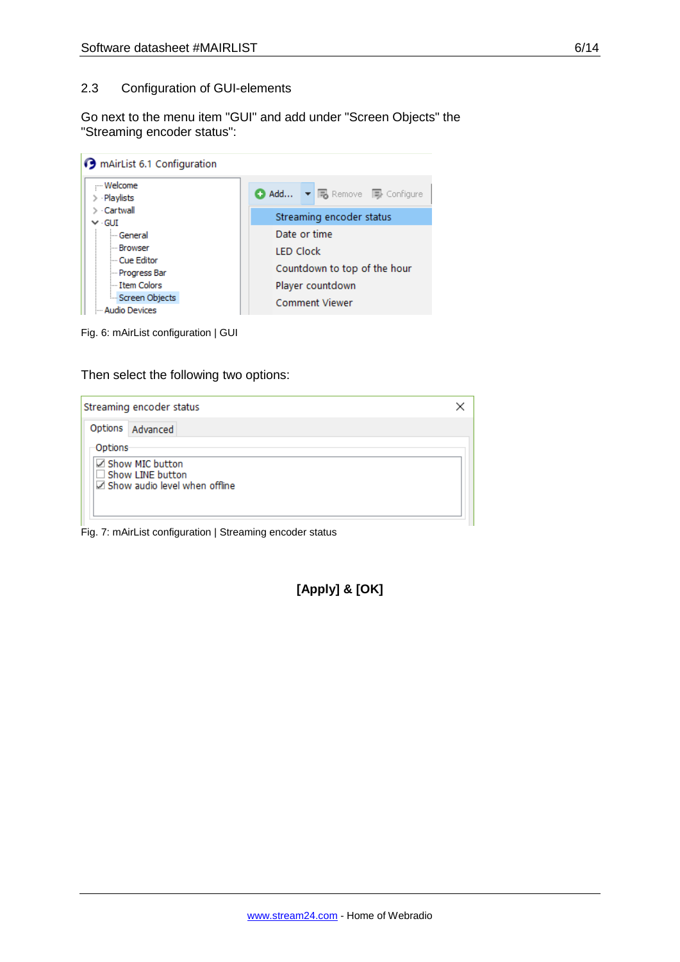Go next to the menu item "GUI" and add under "Screen Objects" the "Streaming encoder status":



Fig. 6: mAirList configuration | GUI

Then select the following two options:



Fig. 7: mAirList configuration | Streaming encoder status

**[Apply] & [OK]**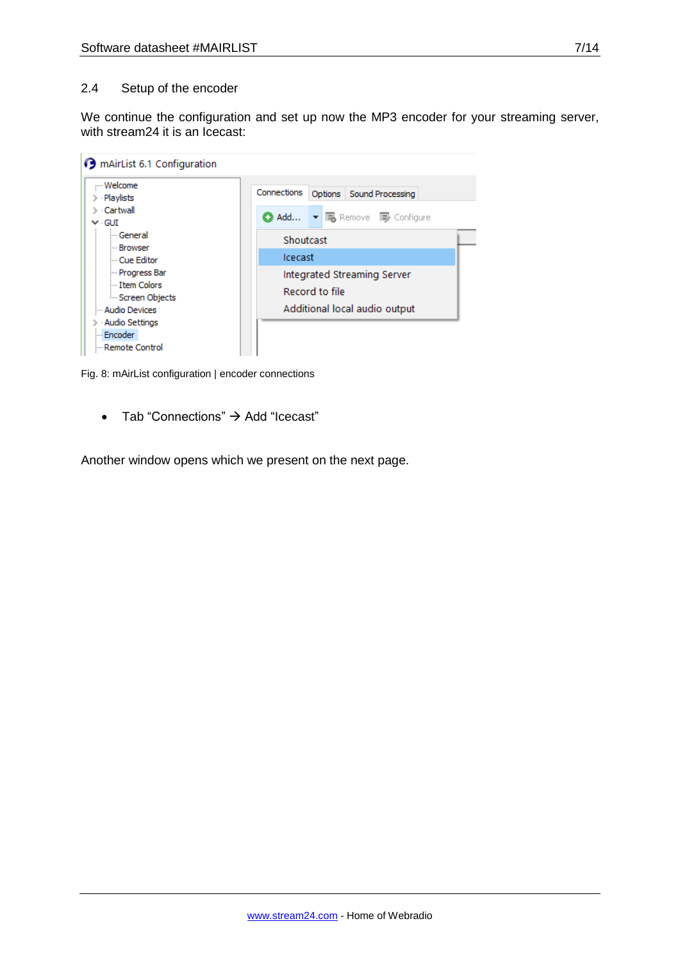We continue the configuration and set up now the MP3 encoder for your streaming server, with stream24 it is an Icecast:

| mAirList 6.1 Configuration                                                                           |                                                                                                               |
|------------------------------------------------------------------------------------------------------|---------------------------------------------------------------------------------------------------------------|
| - Welcome<br>$>$ Playlists                                                                           | Connections<br>Options Sound Processing                                                                       |
| > Cartwall<br>$\vee$ GUI                                                                             | ● Add ▼ 喝 Remove ■ Configure                                                                                  |
| - General<br>l--- Browser<br>-- Cue Editor<br>- Progress Bar<br>Item Colors<br><b>Screen Objects</b> | Shoutcast<br><b>Icecast</b><br>Integrated Streaming Server<br>Record to file<br>Additional local audio output |
| - Audio Devices<br><b>Audio Settings</b><br>Encoder<br>: <mark>.</mark><br>Remote Control            |                                                                                                               |

Fig. 8: mAirList configuration | encoder connections

• Tab "Connections"  $\rightarrow$  Add "Icecast"

Another window opens which we present on the next page.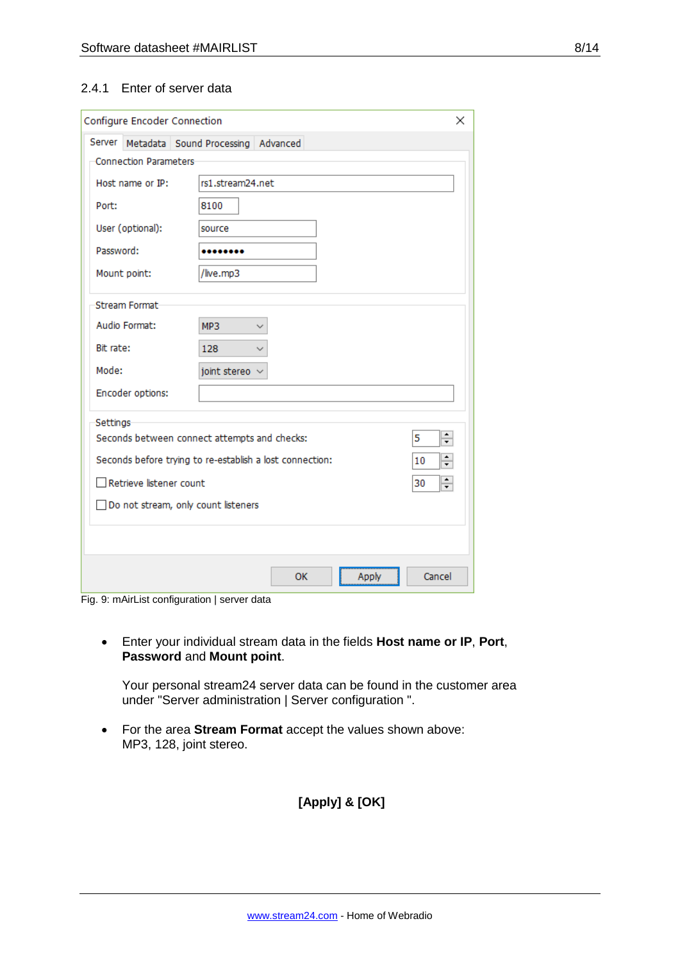## 2.4.1 Enter of server data

| Configure Encoder Connection          |                                                                          | × |  |  |  |  |  |
|---------------------------------------|--------------------------------------------------------------------------|---|--|--|--|--|--|
|                                       | Server Metadata Sound Processing Advanced                                |   |  |  |  |  |  |
| <b>Connection Parameters</b>          |                                                                          |   |  |  |  |  |  |
| Host name or IP:                      | rs1.stream24.net                                                         |   |  |  |  |  |  |
| Port:                                 | 8100                                                                     |   |  |  |  |  |  |
| User (optional):                      | source                                                                   |   |  |  |  |  |  |
| Password:                             |                                                                          |   |  |  |  |  |  |
| Mount point:                          | /live.mp3                                                                |   |  |  |  |  |  |
| Stream Format                         |                                                                          |   |  |  |  |  |  |
| Audio Format:                         | MP3                                                                      |   |  |  |  |  |  |
| Bit rate:                             | 128                                                                      |   |  |  |  |  |  |
| Mode:                                 | joint stereo                                                             |   |  |  |  |  |  |
| Encoder options:                      |                                                                          |   |  |  |  |  |  |
| Settings                              |                                                                          |   |  |  |  |  |  |
|                                       | ÷<br>Seconds between connect attempts and checks:<br>5                   |   |  |  |  |  |  |
|                                       | $\div$<br>Seconds before trying to re-establish a lost connection:<br>10 |   |  |  |  |  |  |
|                                       | $\div$<br>Retrieve listener count<br>30                                  |   |  |  |  |  |  |
| □ Do not stream, only count listeners |                                                                          |   |  |  |  |  |  |
|                                       |                                                                          |   |  |  |  |  |  |
|                                       | Cancel<br>OK<br>Apply                                                    |   |  |  |  |  |  |

Fig. 9: mAirList configuration | server data

 Enter your individual stream data in the fields **Host name or IP**, **Port**, **Password** and **Mount point**.

Your personal stream24 server data can be found in the customer area under "Server administration | Server configuration ".

 For the area **Stream Format** accept the values shown above: MP3, 128, joint stereo.

## **[Apply] & [OK]**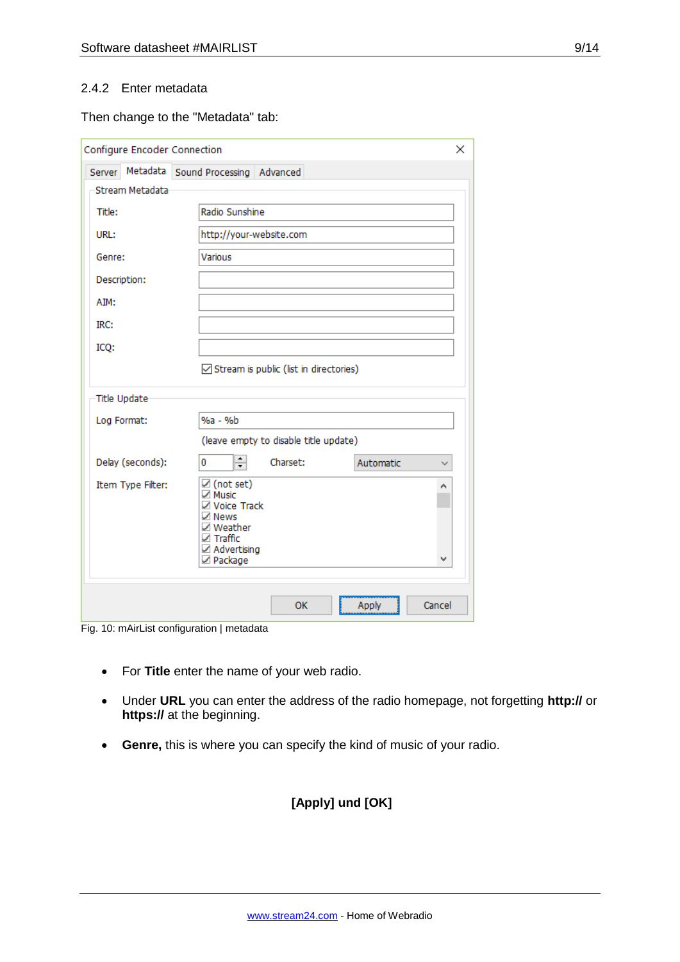## 2.4.2 Enter metadata

#### Then change to the "Metadata" tab:

| Configure Encoder Connection<br>× |                                                                                                                                             |        |  |  |  |  |  |
|-----------------------------------|---------------------------------------------------------------------------------------------------------------------------------------------|--------|--|--|--|--|--|
| Server                            | Metadata Sound Processing Advanced                                                                                                          |        |  |  |  |  |  |
| Stream Metadata                   |                                                                                                                                             |        |  |  |  |  |  |
| Title:                            | Radio Sunshine                                                                                                                              |        |  |  |  |  |  |
| URL:                              | http://your-website.com                                                                                                                     |        |  |  |  |  |  |
| Genre:                            | Various                                                                                                                                     |        |  |  |  |  |  |
| Description:                      |                                                                                                                                             |        |  |  |  |  |  |
| AIM:                              |                                                                                                                                             |        |  |  |  |  |  |
| IRC:                              |                                                                                                                                             |        |  |  |  |  |  |
| ICQ:                              |                                                                                                                                             |        |  |  |  |  |  |
|                                   | Stream is public (list in directories)                                                                                                      |        |  |  |  |  |  |
| Title Update                      |                                                                                                                                             |        |  |  |  |  |  |
| Log Format:                       | %a - %b                                                                                                                                     |        |  |  |  |  |  |
|                                   | (leave empty to disable title update)                                                                                                       |        |  |  |  |  |  |
| Delay (seconds):                  | ≑<br>0<br>Charset:<br>Automatic                                                                                                             |        |  |  |  |  |  |
| Item Type Filter:                 | $\boxtimes$ (not set)<br>$\sqrt{ }$ Music<br>☑ Voice Track<br>$\sqrt{ }$ News<br>☑ Weather<br>$\boxtimes$ Traffic<br>Advertising<br>Package | ۸<br>v |  |  |  |  |  |
|                                   | OK<br>Apply                                                                                                                                 | Cancel |  |  |  |  |  |

Fig. 10: mAirList configuration | metadata

- For **Title** enter the name of your web radio.
- Under **URL** you can enter the address of the radio homepage, not forgetting **http://** or **https://** at the beginning.
- **Genre,** this is where you can specify the kind of music of your radio.

## **[Apply] und [OK]**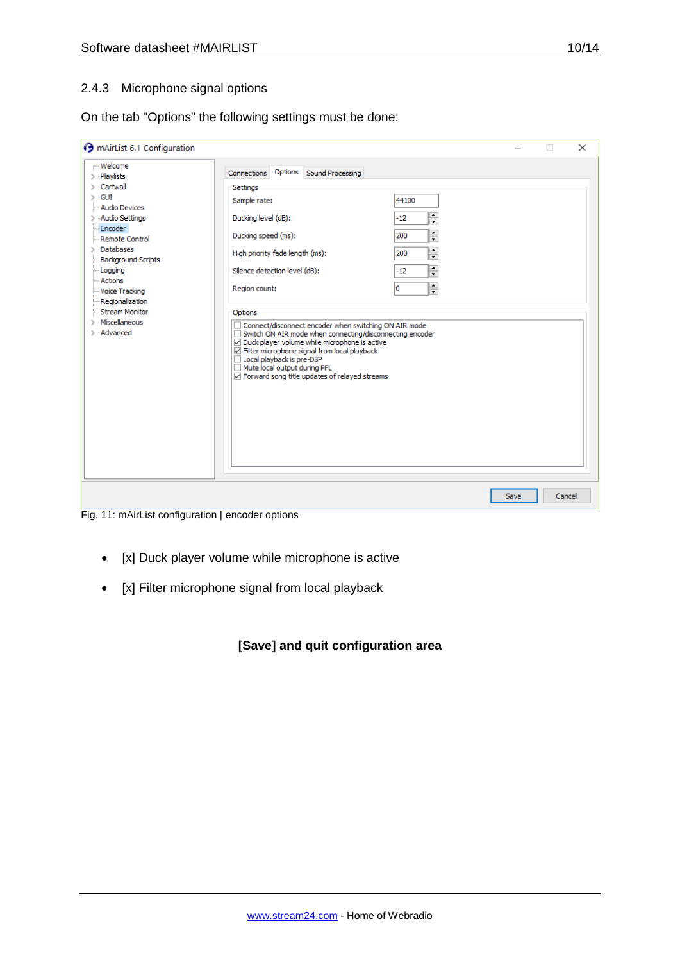## 2.4.3 Microphone signal options

On the tab "Options" the following settings must be done:

| <b>O</b> mAirList 6.1 Configuration                                                                                                                                                                                                                                                        |                                                                                                                                                                                                                                                                                                                                                                                                                                                                                                                                                                            |                  |                                                                                                                                                                                                          |      | п      | × |
|--------------------------------------------------------------------------------------------------------------------------------------------------------------------------------------------------------------------------------------------------------------------------------------------|----------------------------------------------------------------------------------------------------------------------------------------------------------------------------------------------------------------------------------------------------------------------------------------------------------------------------------------------------------------------------------------------------------------------------------------------------------------------------------------------------------------------------------------------------------------------------|------------------|----------------------------------------------------------------------------------------------------------------------------------------------------------------------------------------------------------|------|--------|---|
| - Welcome<br>$>$ Playlists<br>> Cartwall<br>$>$ GUI<br>- Audio Devices<br>> Audio Settings<br>Encoder<br>Remote Control<br>Databases<br><b>Background Scripts</b><br>Logging<br>- Actions<br><b>Voice Tracking</b><br>Regionalization<br>Stream Monitor<br>· Miscellaneous<br>$>$ Advanced | Options<br>Connections<br>Settings<br>Sample rate:<br>Ducking level (dB):<br>Ducking speed (ms):<br>High priority fade length (ms):<br>Silence detection level (dB):<br>Region count:<br>Options<br>Connect/disconnect encoder when switching ON AIR mode<br>Switch ON AIR mode when connecting/disconnecting encoder<br>П<br>○ Duck player volume while microphone is active<br>$\sqrt{\phantom{a}}$ Filter microphone signal from local playback<br>Local playback is pre-DSP<br>Mute local output during PFL<br>$\sqrt{}$ Forward song title updates of relayed streams | Sound Processing | 44100<br>÷<br>$-12$<br>$\blacktriangle$<br>200<br>$\overline{\phantom{0}}$<br>$\blacktriangle$<br>200<br>$\overline{\phantom{0}}$<br>$\blacktriangle$<br>$-12$<br>$\overline{\mathbf{r}}$<br>$\div$<br>o |      |        |   |
|                                                                                                                                                                                                                                                                                            |                                                                                                                                                                                                                                                                                                                                                                                                                                                                                                                                                                            |                  |                                                                                                                                                                                                          | Save | Cancel |   |

Fig. 11: mAirList configuration | encoder options

- [x] Duck player volume while microphone is active
- [x] Filter microphone signal from local playback

## **[Save] and quit configuration area**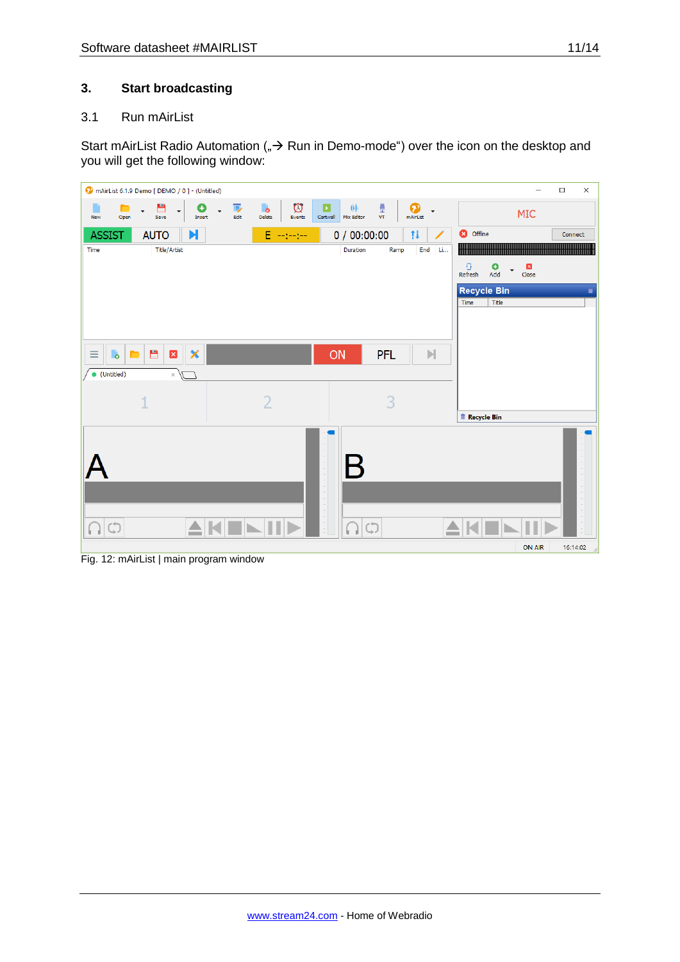## **3. Start broadcasting**

## 3.1 Run mAirList

Start mAirList Radio Automation ( $\Rightarrow$  Run in Demo-mode") over the icon on the desktop and you will get the following window:

|                                             | mAirList 6.1.9 Demo [ DEMO / 0 ] - (Untitled)        |                                       |                                                        |                                  |                                                      |                                                        | $\Box$<br>$\times$<br>$\overline{\phantom{0}}$ |
|---------------------------------------------|------------------------------------------------------|---------------------------------------|--------------------------------------------------------|----------------------------------|------------------------------------------------------|--------------------------------------------------------|------------------------------------------------|
| New<br>Open                                 | 昌<br>O<br>$\overline{\phantom{a}}$<br>Save<br>Insert | 厚<br>$\overline{\phantom{a}}$<br>Edit | $\circledcirc$<br>$\ddot{\bullet}$<br>Delete<br>Events | 业<br>E<br>Mix Editor<br>Cartwall | ₿<br>❼<br>$\overline{\phantom{a}}$<br>VT<br>mAirList |                                                        | MIC                                            |
| <b>ASSIST</b>                               | N<br><b>AUTO</b>                                     |                                       | E --------                                             | 0/00:00:00                       | ţi                                                   | <b>3</b> Offline                                       | Connect                                        |
| Time                                        | <b>Title/Artist</b>                                  |                                       |                                                        | Duration                         | End Li<br>Ramp                                       |                                                        |                                                |
|                                             |                                                      |                                       |                                                        |                                  |                                                      | $\overline{\mathbf{G}}$<br>$\bullet$<br>Refresh<br>Add | $\mathbbmss{z}$<br>Close                       |
|                                             |                                                      |                                       |                                                        |                                  |                                                      | <b>Recycle Bin</b>                                     | U                                              |
|                                             |                                                      |                                       |                                                        |                                  |                                                      | Title<br>Time                                          |                                                |
|                                             |                                                      |                                       |                                                        |                                  |                                                      |                                                        |                                                |
| $\bullet$<br>$\equiv$<br>$\blacksquare$     | 目<br>×<br>$\mathbf x$                                |                                       |                                                        | ON                               | <b>PFL</b><br>$\mathbb{N}$                           |                                                        |                                                |
| · (Untitled)                                | $\times$                                             |                                       |                                                        |                                  |                                                      |                                                        |                                                |
|                                             |                                                      |                                       |                                                        |                                  |                                                      |                                                        |                                                |
|                                             | 1                                                    |                                       | $\overline{2}$                                         |                                  | 3                                                    |                                                        |                                                |
|                                             |                                                      |                                       |                                                        |                                  |                                                      | <b>Recycle Bin</b>                                     |                                                |
|                                             |                                                      |                                       | - 11                                                   | $\blacktriangledown$             |                                                      |                                                        |                                                |
| $\begin{pmatrix} 1 \\ 1 \end{pmatrix}$<br>ы | ≙                                                    |                                       |                                                        | $\bigcap$                        |                                                      |                                                        |                                                |
|                                             |                                                      |                                       |                                                        |                                  |                                                      |                                                        | ON AIR<br>16:14:02                             |

Fig. 12: mAirList | main program window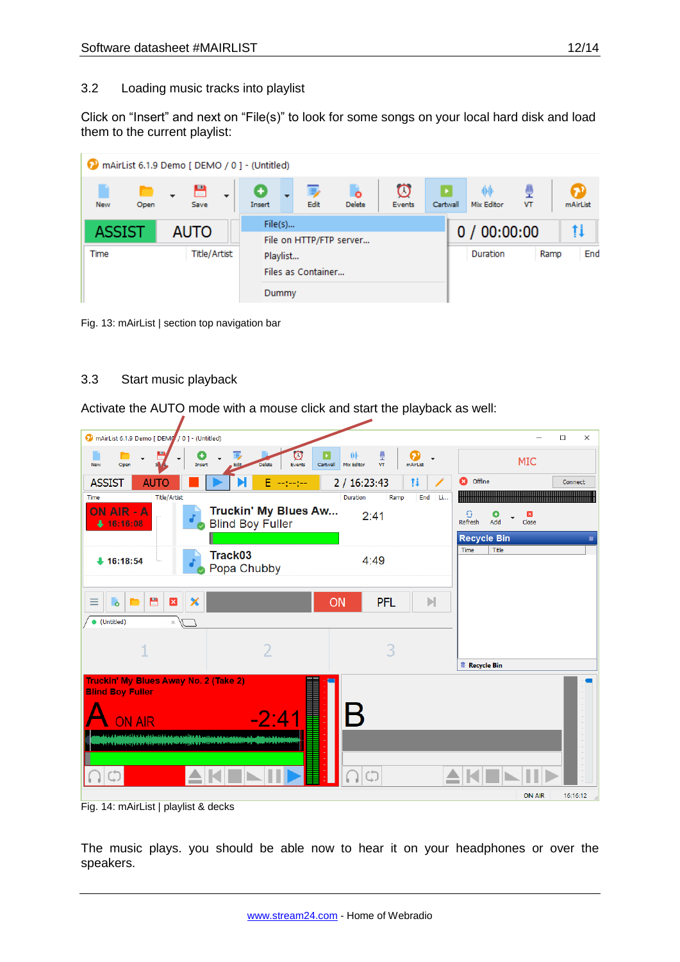## 3.2 Loading music tracks into playlist

Click on "Insert" and next on "File(s)" to look for some songs on your local hard disk and load them to the current playlist:

|                    | mAirList 6.1.9 Demo [ DEMO / 0 ] - (Untitled) |          |                    |                    |             |          |            |            |    |             |
|--------------------|-----------------------------------------------|----------|--------------------|--------------------|-------------|----------|------------|------------|----|-------------|
| <b>New</b><br>Open | ٣<br>$\mathbf{r}$<br>Save                     | Insert   | Edit               | ò<br><b>Delete</b> | Ø<br>Events | Cartwall |            | Mix Editor | VT | mAirList    |
| <b>ASSIST</b>      | File(s)<br>File on HTTP/FTP server            |          |                    |                    |             |          | 0/00:00:00 |            |    |             |
| Time               | <b>Title/Artist</b>                           | Playlist | Files as Container |                    |             |          |            | Duration   |    | End<br>Ramp |
|                    |                                               | Dummy    |                    |                    |             |          |            |            |    |             |

Fig. 13: mAirList | section top navigation bar

## 3.3 Start music playback

Activate the AUTO mode with a mouse click and start the playback as well:



Fig. 14: mAirList | playlist & decks

The music plays. you should be able now to hear it on your headphones or over the speakers.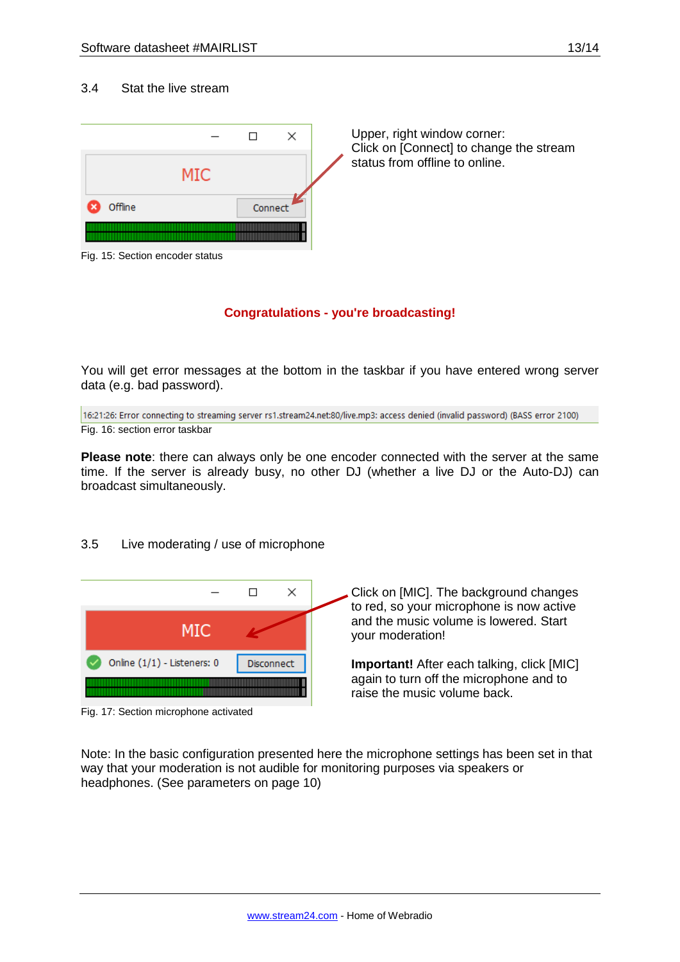#### 3.4 Stat the live stream



#### **Congratulations - you're broadcasting!**

You will get error messages at the bottom in the taskbar if you have entered wrong server data (e.g. bad password).

16:21:26: Error connecting to streaming server rs1.stream24.net:80/live.mp3: access denied (invalid password) (BASS error 2100) Fig. 16: section error taskbar

**Please note**: there can always only be one encoder connected with the server at the same time. If the server is already busy, no other DJ (whether a live DJ or the Auto-DJ) can broadcast simultaneously.

## 3.5 Live moderating / use of microphone



Fig. 17: Section microphone activated

Click on [MIC]. The background changes to red, so your microphone is now active and the music volume is lowered. Start your moderation!

**Important!** After each talking, click [MIC] again to turn off the microphone and to raise the music volume back.

Note: In the basic configuration presented here the microphone settings has been set in that way that your moderation is not audible for monitoring purposes via speakers or headphones. (See parameters on page 10)